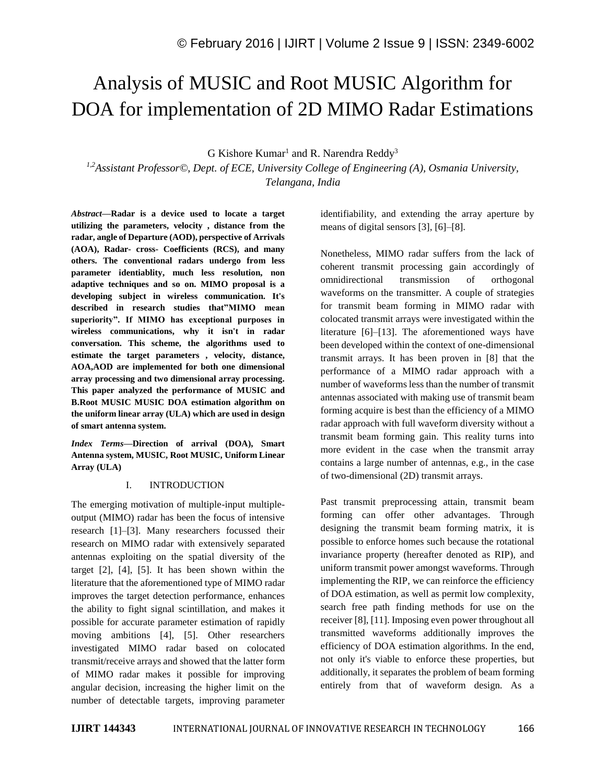# Analysis of MUSIC and Root MUSIC Algorithm for DOA for implementation of 2D MIMO Radar Estimations

G Kishore Kumar<sup>1</sup> and R. Narendra Reddy<sup>3</sup>

*1,2Assistant Professor©, Dept. of ECE, University College of Engineering (A), Osmania University, Telangana, India*

*Abstract—***Radar is a device used to locate a target utilizing the parameters, velocity , distance from the radar, angle of Departure (AOD), perspective of Arrivals (AOA), Radar- cross- Coefficients (RCS), and many others. The conventional radars undergo from less parameter identiablity, much less resolution, non adaptive techniques and so on. MIMO proposal is a developing subject in wireless communication. It's described in research studies that"MIMO mean superiority". If MIMO has exceptional purposes in wireless communications, why it isn't in radar conversation. This scheme, the algorithms used to estimate the target parameters , velocity, distance, AOA,AOD are implemented for both one dimensional array processing and two dimensional array processing. This paper analyzed the performance of MUSIC and B.Root MUSIC MUSIC DOA estimation algorithm on the uniform linear array (ULA) which are used in design of smart antenna system.**

*Index Terms—***Direction of arrival (DOA), Smart Antenna system, MUSIC, Root MUSIC, Uniform Linear Array (ULA)**

## I. INTRODUCTION

The emerging motivation of multiple-input multipleoutput (MIMO) radar has been the focus of intensive research [1]–[3]. Many researchers focussed their research on MIMO radar with extensively separated antennas exploiting on the spatial diversity of the target [2], [4], [5]. It has been shown within the literature that the aforementioned type of MIMO radar improves the target detection performance, enhances the ability to fight signal scintillation, and makes it possible for accurate parameter estimation of rapidly moving ambitions [4], [5]. Other researchers investigated MIMO radar based on colocated transmit/receive arrays and showed that the latter form of MIMO radar makes it possible for improving angular decision, increasing the higher limit on the number of detectable targets, improving parameter identifiability, and extending the array aperture by means of digital sensors [3], [6]–[8].

Nonetheless, MIMO radar suffers from the lack of coherent transmit processing gain accordingly of omnidirectional transmission of orthogonal waveforms on the transmitter. A couple of strategies for transmit beam forming in MIMO radar with colocated transmit arrays were investigated within the literature [6]–[13]. The aforementioned ways have been developed within the context of one-dimensional transmit arrays. It has been proven in [8] that the performance of a MIMO radar approach with a number of waveforms less than the number of transmit antennas associated with making use of transmit beam forming acquire is best than the efficiency of a MIMO radar approach with full waveform diversity without a transmit beam forming gain. This reality turns into more evident in the case when the transmit array contains a large number of antennas, e.g., in the case of two-dimensional (2D) transmit arrays.

Past transmit preprocessing attain, transmit beam forming can offer other advantages. Through designing the transmit beam forming matrix, it is possible to enforce homes such because the rotational invariance property (hereafter denoted as RIP), and uniform transmit power amongst waveforms. Through implementing the RIP, we can reinforce the efficiency of DOA estimation, as well as permit low complexity, search free path finding methods for use on the receiver [8], [11]. Imposing even power throughout all transmitted waveforms additionally improves the efficiency of DOA estimation algorithms. In the end, not only it's viable to enforce these properties, but additionally, it separates the problem of beam forming entirely from that of waveform design. As a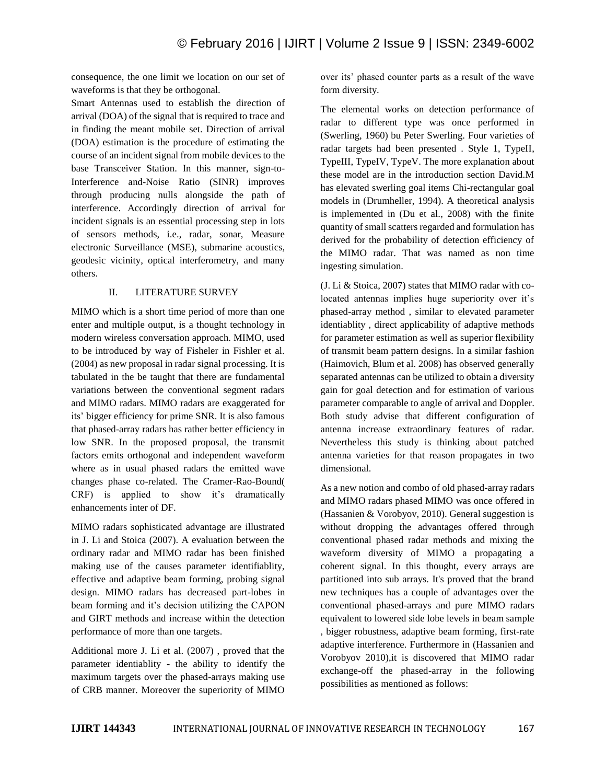consequence, the one limit we location on our set of waveforms is that they be orthogonal.

Smart Antennas used to establish the direction of arrival (DOA) of the signal that is required to trace and in finding the meant mobile set. Direction of arrival (DOA) estimation is the procedure of estimating the course of an incident signal from mobile devices to the base Transceiver Station. In this manner, sign-to-Interference and-Noise Ratio (SINR) improves through producing nulls alongside the path of interference. Accordingly direction of arrival for incident signals is an essential processing step in lots of sensors methods, i.e., radar, sonar, Measure electronic Surveillance (MSE), submarine acoustics, geodesic vicinity, optical interferometry, and many others.

## II. LITERATURE SURVEY

MIMO which is a short time period of more than one enter and multiple output, is a thought technology in modern wireless conversation approach. MIMO, used to be introduced by way of Fisheler in Fishler et al. (2004) as new proposal in radar signal processing. It is tabulated in the be taught that there are fundamental variations between the conventional segment radars and MIMO radars. MIMO radars are exaggerated for its' bigger efficiency for prime SNR. It is also famous that phased-array radars has rather better efficiency in low SNR. In the proposed proposal, the transmit factors emits orthogonal and independent waveform where as in usual phased radars the emitted wave changes phase co-related. The Cramer-Rao-Bound( CRF) is applied to show it's dramatically enhancements inter of DF.

MIMO radars sophisticated advantage are illustrated in J. Li and Stoica (2007). A evaluation between the ordinary radar and MIMO radar has been finished making use of the causes parameter identifiablity, effective and adaptive beam forming, probing signal design. MIMO radars has decreased part-lobes in beam forming and it's decision utilizing the CAPON and GIRT methods and increase within the detection performance of more than one targets.

Additional more J. Li et al. (2007) , proved that the parameter identiablity - the ability to identify the maximum targets over the phased-arrays making use of CRB manner. Moreover the superiority of MIMO

over its' phased counter parts as a result of the wave form diversity.

The elemental works on detection performance of radar to different type was once performed in (Swerling, 1960) bu Peter Swerling. Four varieties of radar targets had been presented. Style 1, TypeII, TypeIII, TypeIV, TypeV. The more explanation about these model are in the introduction section David.M has elevated swerling goal items Chi-rectangular goal models in (Drumheller, 1994). A theoretical analysis is implemented in (Du et al., 2008) with the finite quantity of small scatters regarded and formulation has derived for the probability of detection efficiency of the MIMO radar. That was named as non time ingesting simulation.

(J. Li & Stoica, 2007) states that MIMO radar with colocated antennas implies huge superiority over it's phased-array method , similar to elevated parameter identiablity , direct applicability of adaptive methods for parameter estimation as well as superior flexibility of transmit beam pattern designs. In a similar fashion (Haimovich, Blum et al. 2008) has observed generally separated antennas can be utilized to obtain a diversity gain for goal detection and for estimation of various parameter comparable to angle of arrival and Doppler. Both study advise that different configuration of antenna increase extraordinary features of radar. Nevertheless this study is thinking about patched antenna varieties for that reason propagates in two dimensional.

As a new notion and combo of old phased-array radars and MIMO radars phased MIMO was once offered in (Hassanien & Vorobyov, 2010). General suggestion is without dropping the advantages offered through conventional phased radar methods and mixing the waveform diversity of MIMO a propagating a coherent signal. In this thought, every arrays are partitioned into sub arrays. It's proved that the brand new techniques has a couple of advantages over the conventional phased-arrays and pure MIMO radars equivalent to lowered side lobe levels in beam sample , bigger robustness, adaptive beam forming, first-rate adaptive interference. Furthermore in (Hassanien and Vorobyov 2010),it is discovered that MIMO radar exchange-off the phased-array in the following possibilities as mentioned as follows: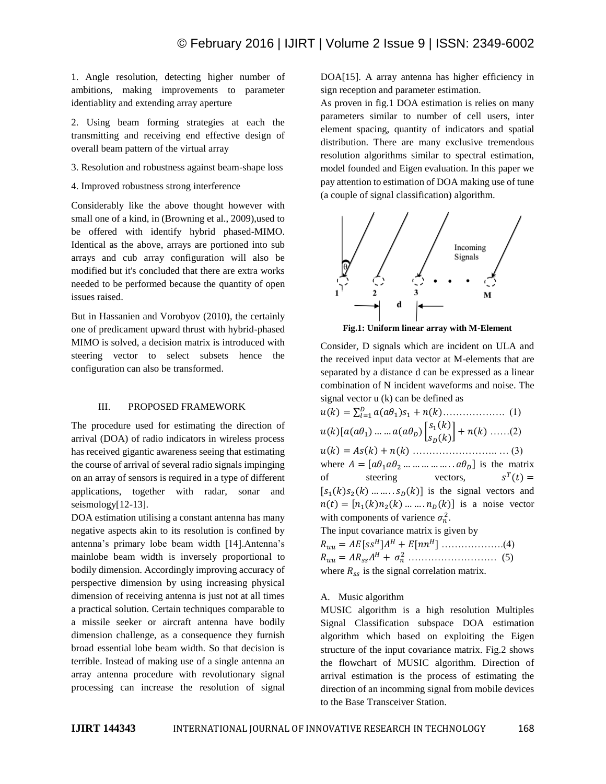1. Angle resolution, detecting higher number of ambitions, making improvements to parameter identiablity and extending array aperture

2. Using beam forming strategies at each the transmitting and receiving end effective design of overall beam pattern of the virtual array

- 3. Resolution and robustness against beam-shape loss
- 4. Improved robustness strong interference

Considerably like the above thought however with small one of a kind, in (Browning et al., 2009), used to be offered with identify hybrid phased-MIMO. Identical as the above, arrays are portioned into sub arrays and cub array configuration will also be modified but it's concluded that there are extra works needed to be performed because the quantity of open issues raised.

But in Hassanien and Vorobyov (2010), the certainly one of predicament upward thrust with hybrid-phased MIMO is solved, a decision matrix is introduced with steering vector to select subsets hence the configuration can also be transformed.

## III. PROPOSED FRAMEWORK

The procedure used for estimating the direction of arrival (DOA) of radio indicators in wireless process has received gigantic awareness seeing that estimating the course of arrival of several radio signals impinging on an array of sensors is required in a type of different applications, together with radar, sonar and seismology[12-13].

DOA estimation utilising a constant antenna has many negative aspects akin to its resolution is confined by antenna's primary lobe beam width [14].Antenna's mainlobe beam width is inversely proportional to bodily dimension. Accordingly improving accuracy of perspective dimension by using increasing physical dimension of receiving antenna is just not at all times a practical solution. Certain techniques comparable to a missile seeker or aircraft antenna have bodily dimension challenge, as a consequence they furnish broad essential lobe beam width. So that decision is terrible. Instead of making use of a single antenna an array antenna procedure with revolutionary signal processing can increase the resolution of signal

DOA[15]. A array antenna has higher efficiency in sign reception and parameter estimation.

As proven in fig.1 DOA estimation is relies on many parameters similar to number of cell users, inter element spacing, quantity of indicators and spatial distribution. There are many exclusive tremendous resolution algorithms similar to spectral estimation, model founded and Eigen evaluation. In this paper we pay attention to estimation of DOA making use of tune (a couple of signal classification) algorithm.



**Fig.1: Uniform linear array with M-Element**

Consider, D signals which are incident on ULA and the received input data vector at M-elements that are separated by a distance d can be expressed as a linear combination of N incident waveforms and noise. The signal vector u (k) can be defined as

() = ∑ (<sup>1</sup> )<sup>1</sup> + () =1 ………………. (1)  $u(k) [a(a\theta_1) \dots \dots a(a\theta_p)] \begin{bmatrix} s_1(k) \\ s_2(k) \end{bmatrix}$  $\begin{bmatrix} S_1(\kappa) \\ S_D(k) \end{bmatrix} + n(k) \dots (2)$ () = () + () …………………….. … (3) where  $A = [a\theta_1 a\theta_2 \dots \dots \dots \dots \dots a\theta_D]$  is the matrix of steering vectors,  $T(t) =$  $[s_1(k)s_2(k) \dots \dots \dots s_n(k)]$  is the signal vectors and  $n(t) = [n_1(k)n_2(k) ... ... n_n(k)]$  is a noise vector with components of varience  $\sigma_n^2$ . The input covariance matrix is given by = [] + [] ……………….(4)

 = + <sup>2</sup> ……………………… (5) where  $R_{ss}$  is the signal correlation matrix.

## A. Music algorithm

MUSIC algorithm is a high resolution Multiples Signal Classification subspace DOA estimation algorithm which based on exploiting the Eigen structure of the input covariance matrix. Fig.2 shows the flowchart of MUSIC algorithm. Direction of arrival estimation is the process of estimating the direction of an incomming signal from mobile devices to the Base Transceiver Station.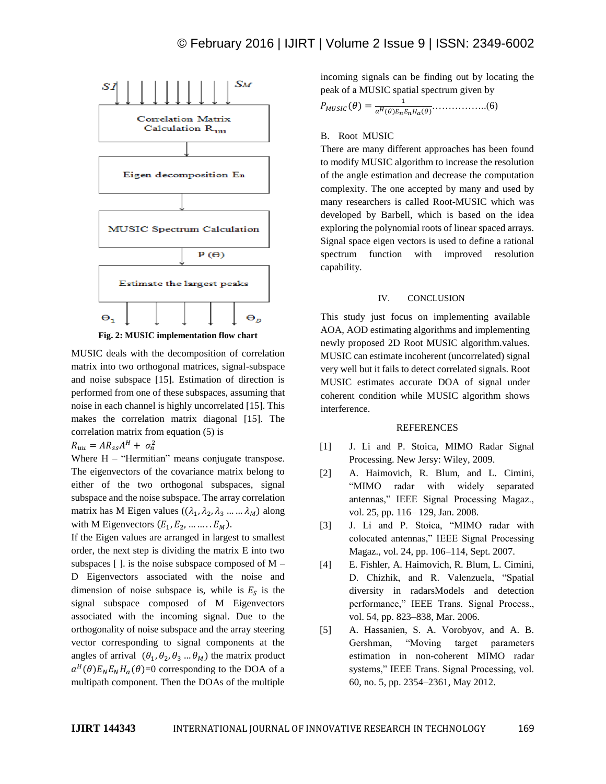

MUSIC deals with the decomposition of correlation matrix into two orthogonal matrices, signal-subspace and noise subspace [15]. Estimation of direction is performed from one of these subspaces, assuming that noise in each channel is highly uncorrelated [15]. This makes the correlation matrix diagonal [15]. The correlation matrix from equation (5) is

 $R_{uu} = AR_{ss}A^H + \sigma_n^2$ 

Where  $H - "Hermitian"$  means conjugate transpose. The eigenvectors of the covariance matrix belong to either of the two orthogonal subspaces, signal subspace and the noise subspace. The array correlation matrix has M Eigen values  $((\lambda_1, \lambda_2, \lambda_3, ..., \lambda_M))$  along with M Eigenvectors  $(E_1, E_2, \dots \dots \dots E_M)$ .

If the Eigen values are arranged in largest to smallest order, the next step is dividing the matrix E into two subspaces  $\lceil \cdot \rceil$ . is the noise subspace composed of M – D Eigenvectors associated with the noise and dimension of noise subspace is, while is  $E<sub>S</sub>$  is the signal subspace composed of M Eigenvectors associated with the incoming signal. Due to the orthogonality of noise subspace and the array steering vector corresponding to signal components at the angles of arrival  $(\theta_1, \theta_2, \theta_3, \dots, \theta_M)$  the matrix product  $a^H(\theta)E_N E_N H_a(\theta)$ =0 corresponding to the DOA of a multipath component. Then the DOAs of the multiple

incoming signals can be finding out by locating the peak of a MUSIC spatial spectrum given by

$$
P_{MUSIC}(\theta) = \frac{1}{a^H(\theta)E_nE_nH_a(\theta)}\dots(6)
$$

#### B. Root MUSIC

There are many different approaches has been found to modify MUSIC algorithm to increase the resolution of the angle estimation and decrease the computation complexity. The one accepted by many and used by many researchers is called Root-MUSIC which was developed by Barbell, which is based on the idea exploring the polynomial roots of linear spaced arrays. Signal space eigen vectors is used to define a rational spectrum function with improved resolution capability.

#### IV. CONCLUSION

This study just focus on implementing available AOA, AOD estimating algorithms and implementing newly proposed 2D Root MUSIC algorithm.values. MUSIC can estimate incoherent (uncorrelated) signal very well but it fails to detect correlated signals. Root MUSIC estimates accurate DOA of signal under coherent condition while MUSIC algorithm shows interference.

#### **REFERENCES**

- [1] J. Li and P. Stoica, MIMO Radar Signal Processing. New Jersy: Wiley, 2009.
- [2] A. Haimovich, R. Blum, and L. Cimini, "MIMO radar with widely separated antennas," IEEE Signal Processing Magaz., vol. 25, pp. 116– 129, Jan. 2008.
- [3] J. Li and P. Stoica, "MIMO radar with colocated antennas," IEEE Signal Processing Magaz., vol. 24, pp. 106–114, Sept. 2007.
- [4] E. Fishler, A. Haimovich, R. Blum, L. Cimini, D. Chizhik, and R. Valenzuela, "Spatial diversity in radarsModels and detection performance," IEEE Trans. Signal Process., vol. 54, pp. 823–838, Mar. 2006.
- [5] A. Hassanien, S. A. Vorobyov, and A. B. Gershman, "Moving target parameters estimation in non-coherent MIMO radar systems," IEEE Trans. Signal Processing, vol. 60, no. 5, pp. 2354–2361, May 2012.